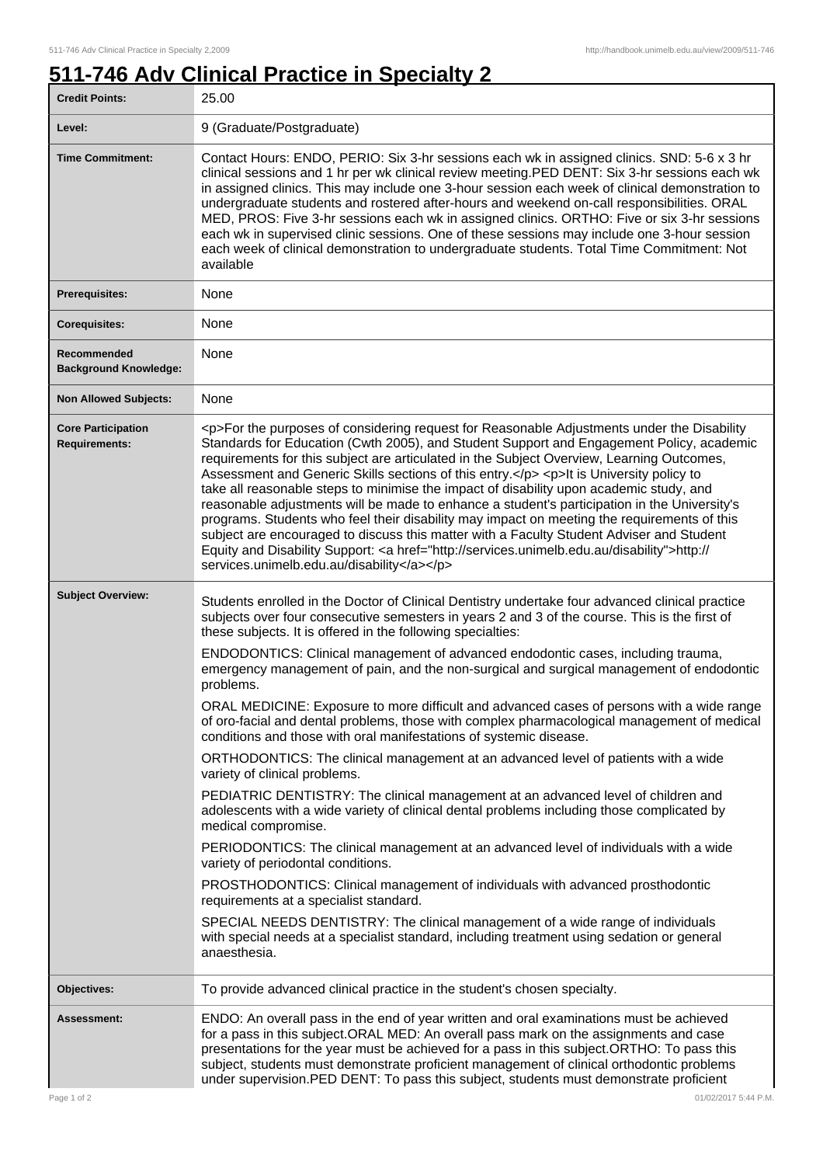٦

## **511-746 Adv Clinical Practice in Specialty 2**

| <b>Credit Points:</b>                             | 25.00                                                                                                                                                                                                                                                                                                                                                                                                                                                                                                                                                                                                                                                                                                                                                                                                                                                                                                                        |
|---------------------------------------------------|------------------------------------------------------------------------------------------------------------------------------------------------------------------------------------------------------------------------------------------------------------------------------------------------------------------------------------------------------------------------------------------------------------------------------------------------------------------------------------------------------------------------------------------------------------------------------------------------------------------------------------------------------------------------------------------------------------------------------------------------------------------------------------------------------------------------------------------------------------------------------------------------------------------------------|
| Level:                                            | 9 (Graduate/Postgraduate)                                                                                                                                                                                                                                                                                                                                                                                                                                                                                                                                                                                                                                                                                                                                                                                                                                                                                                    |
| <b>Time Commitment:</b>                           | Contact Hours: ENDO, PERIO: Six 3-hr sessions each wk in assigned clinics. SND: 5-6 x 3 hr<br>clinical sessions and 1 hr per wk clinical review meeting. PED DENT: Six 3-hr sessions each wk<br>in assigned clinics. This may include one 3-hour session each week of clinical demonstration to<br>undergraduate students and rostered after-hours and weekend on-call responsibilities. ORAL<br>MED, PROS: Five 3-hr sessions each wk in assigned clinics. ORTHO: Five or six 3-hr sessions<br>each wk in supervised clinic sessions. One of these sessions may include one 3-hour session<br>each week of clinical demonstration to undergraduate students. Total Time Commitment: Not<br>available                                                                                                                                                                                                                        |
| <b>Prerequisites:</b>                             | None                                                                                                                                                                                                                                                                                                                                                                                                                                                                                                                                                                                                                                                                                                                                                                                                                                                                                                                         |
| <b>Corequisites:</b>                              | None                                                                                                                                                                                                                                                                                                                                                                                                                                                                                                                                                                                                                                                                                                                                                                                                                                                                                                                         |
| Recommended<br><b>Background Knowledge:</b>       | None                                                                                                                                                                                                                                                                                                                                                                                                                                                                                                                                                                                                                                                                                                                                                                                                                                                                                                                         |
| <b>Non Allowed Subjects:</b>                      | None                                                                                                                                                                                                                                                                                                                                                                                                                                                                                                                                                                                                                                                                                                                                                                                                                                                                                                                         |
| <b>Core Participation</b><br><b>Requirements:</b> | <p>For the purposes of considering request for Reasonable Adjustments under the Disability<br/>Standards for Education (Cwth 2005), and Student Support and Engagement Policy, academic<br/>requirements for this subject are articulated in the Subject Overview, Learning Outcomes,<br/>Assessment and Generic Skills sections of this entry.</p> <p>It is University policy to<br/>take all reasonable steps to minimise the impact of disability upon academic study, and<br/>reasonable adjustments will be made to enhance a student's participation in the University's<br/>programs. Students who feel their disability may impact on meeting the requirements of this<br/>subject are encouraged to discuss this matter with a Faculty Student Adviser and Student<br/>Equity and Disability Support: &lt; a href="http://services.unimelb.edu.au/disability"&gt;http://<br/>services.unimelb.edu.au/disability</p> |
| <b>Subject Overview:</b>                          | Students enrolled in the Doctor of Clinical Dentistry undertake four advanced clinical practice<br>subjects over four consecutive semesters in years 2 and 3 of the course. This is the first of<br>these subjects. It is offered in the following specialties:                                                                                                                                                                                                                                                                                                                                                                                                                                                                                                                                                                                                                                                              |
|                                                   | ENDODONTICS: Clinical management of advanced endodontic cases, including trauma,<br>emergency management of pain, and the non-surgical and surgical management of endodontic<br>problems.                                                                                                                                                                                                                                                                                                                                                                                                                                                                                                                                                                                                                                                                                                                                    |
|                                                   | ORAL MEDICINE: Exposure to more difficult and advanced cases of persons with a wide range<br>of oro-facial and dental problems, those with complex pharmacological management of medical<br>conditions and those with oral manifestations of systemic disease.                                                                                                                                                                                                                                                                                                                                                                                                                                                                                                                                                                                                                                                               |
|                                                   | ORTHODONTICS: The clinical management at an advanced level of patients with a wide<br>variety of clinical problems.                                                                                                                                                                                                                                                                                                                                                                                                                                                                                                                                                                                                                                                                                                                                                                                                          |
|                                                   | PEDIATRIC DENTISTRY: The clinical management at an advanced level of children and<br>adolescents with a wide variety of clinical dental problems including those complicated by<br>medical compromise.                                                                                                                                                                                                                                                                                                                                                                                                                                                                                                                                                                                                                                                                                                                       |
|                                                   | PERIODONTICS: The clinical management at an advanced level of individuals with a wide<br>variety of periodontal conditions.                                                                                                                                                                                                                                                                                                                                                                                                                                                                                                                                                                                                                                                                                                                                                                                                  |
|                                                   | PROSTHODONTICS: Clinical management of individuals with advanced prosthodontic<br>requirements at a specialist standard.                                                                                                                                                                                                                                                                                                                                                                                                                                                                                                                                                                                                                                                                                                                                                                                                     |
|                                                   | SPECIAL NEEDS DENTISTRY: The clinical management of a wide range of individuals<br>with special needs at a specialist standard, including treatment using sedation or general<br>anaesthesia.                                                                                                                                                                                                                                                                                                                                                                                                                                                                                                                                                                                                                                                                                                                                |
| Objectives:                                       | To provide advanced clinical practice in the student's chosen specialty.                                                                                                                                                                                                                                                                                                                                                                                                                                                                                                                                                                                                                                                                                                                                                                                                                                                     |
| Assessment:                                       | ENDO: An overall pass in the end of year written and oral examinations must be achieved<br>for a pass in this subject.ORAL MED: An overall pass mark on the assignments and case<br>presentations for the year must be achieved for a pass in this subject.ORTHO: To pass this<br>subject, students must demonstrate proficient management of clinical orthodontic problems<br>under supervision. PED DENT: To pass this subject, students must demonstrate proficient                                                                                                                                                                                                                                                                                                                                                                                                                                                       |